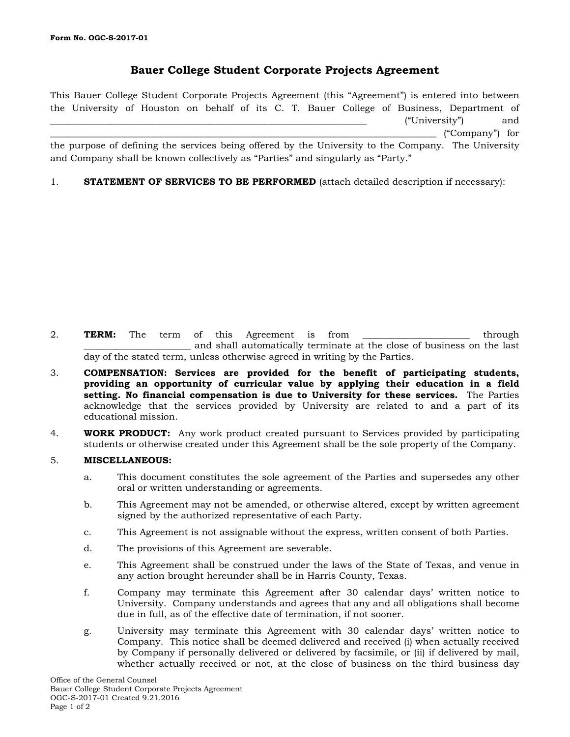## **Bauer College Student Corporate Projects Agreement**

This Bauer College Student Corporate Projects Agreement (this "Agreement") is entered into between the University of Houston on behalf of its C. T. Bauer College of Business, Department of  $("University")$  and \_\_\_\_\_\_\_\_\_\_\_\_\_\_\_\_\_\_\_\_\_\_\_\_\_\_\_\_\_\_\_\_\_\_\_\_\_\_\_\_\_\_\_\_\_\_\_\_\_\_\_\_\_\_\_\_\_\_\_\_\_\_\_\_\_\_\_\_\_\_\_\_\_\_\_\_\_\_\_\_\_\_\_ ("Company") for the purpose of defining the services being offered by the University to the Company. The University and Company shall be known collectively as "Parties" and singularly as "Party."

1. **STATEMENT OF SERVICES TO BE PERFORMED** (attach detailed description if necessary):

- 2. **TERM:** The term of this Agreement is from through \_\_\_\_\_\_\_\_\_\_\_\_\_\_\_\_\_\_\_\_\_\_\_ and shall automatically terminate at the close of business on the last day of the stated term, unless otherwise agreed in writing by the Parties.
- 3. **COMPENSATION: Services are provided for the benefit of participating students, providing an opportunity of curricular value by applying their education in a field setting. No financial compensation is due to University for these services.** The Parties acknowledge that the services provided by University are related to and a part of its educational mission.
- 4. **WORK PRODUCT:** Any work product created pursuant to Services provided by participating students or otherwise created under this Agreement shall be the sole property of the Company.

## 5. **MISCELLANEOUS:**

- a. This document constitutes the sole agreement of the Parties and supersedes any other oral or written understanding or agreements.
- b. This Agreement may not be amended, or otherwise altered, except by written agreement signed by the authorized representative of each Party.
- c. This Agreement is not assignable without the express, written consent of both Parties.
- d. The provisions of this Agreement are severable.
- e. This Agreement shall be construed under the laws of the State of Texas, and venue in any action brought hereunder shall be in Harris County, Texas.
- f. Company may terminate this Agreement after 30 calendar days' written notice to University. Company understands and agrees that any and all obligations shall become due in full, as of the effective date of termination, if not sooner.
- g. University may terminate this Agreement with 30 calendar days' written notice to Company. This notice shall be deemed delivered and received (i) when actually received by Company if personally delivered or delivered by facsimile, or (ii) if delivered by mail, whether actually received or not, at the close of business on the third business day